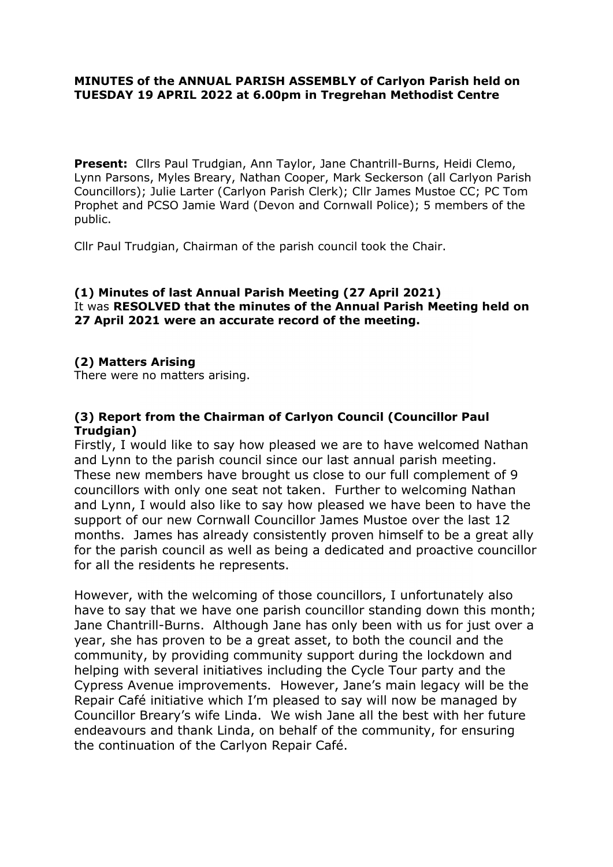#### MINUTES of the ANNUAL PARISH ASSEMBLY of Carlyon Parish held on TUESDAY 19 APRIL 2022 at 6.00pm in Tregrehan Methodist Centre

Present: Cllrs Paul Trudgian, Ann Taylor, Jane Chantrill-Burns, Heidi Clemo, Lynn Parsons, Myles Breary, Nathan Cooper, Mark Seckerson (all Carlyon Parish Councillors); Julie Larter (Carlyon Parish Clerk); Cllr James Mustoe CC; PC Tom Prophet and PCSO Jamie Ward (Devon and Cornwall Police); 5 members of the public.

Cllr Paul Trudgian, Chairman of the parish council took the Chair.

#### (1) Minutes of last Annual Parish Meeting (27 April 2021) It was RESOLVED that the minutes of the Annual Parish Meeting held on 27 April 2021 were an accurate record of the meeting.

# (2) Matters Arising

There were no matters arising.

# (3) Report from the Chairman of Carlyon Council (Councillor Paul Trudgian)

Firstly, I would like to say how pleased we are to have welcomed Nathan and Lynn to the parish council since our last annual parish meeting. These new members have brought us close to our full complement of 9 councillors with only one seat not taken. Further to welcoming Nathan and Lynn, I would also like to say how pleased we have been to have the support of our new Cornwall Councillor James Mustoe over the last 12 months. James has already consistently proven himself to be a great ally for the parish council as well as being a dedicated and proactive councillor for all the residents he represents.

However, with the welcoming of those councillors, I unfortunately also have to say that we have one parish councillor standing down this month; Jane Chantrill-Burns. Although Jane has only been with us for just over a year, she has proven to be a great asset, to both the council and the community, by providing community support during the lockdown and helping with several initiatives including the Cycle Tour party and the Cypress Avenue improvements. However, Jane's main legacy will be the Repair Café initiative which I'm pleased to say will now be managed by Councillor Breary's wife Linda. We wish Jane all the best with her future endeavours and thank Linda, on behalf of the community, for ensuring the continuation of the Carlyon Repair Café.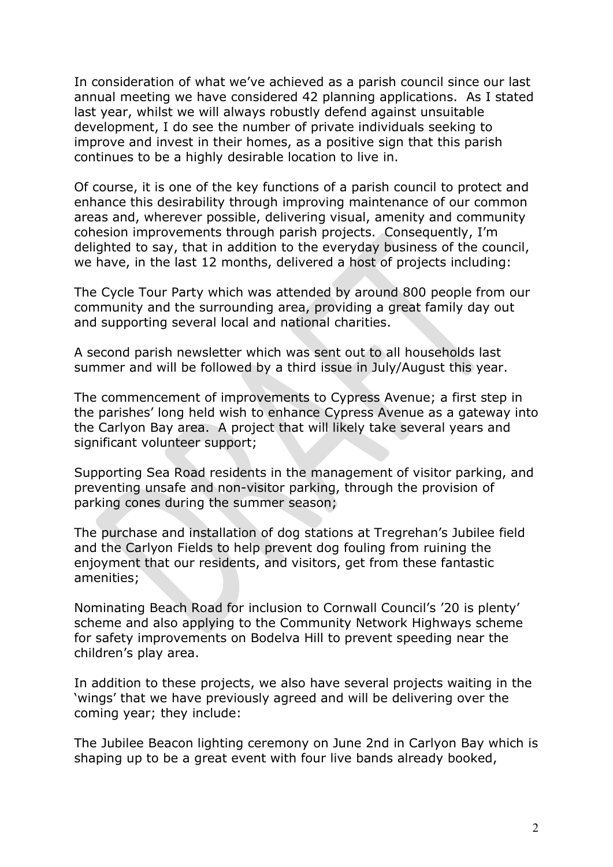In consideration of what we've achieved as a parish council since our last annual meeting we have considered 42 planning applications. As I stated last year, whilst we will always robustly defend against unsuitable development, I do see the number of private individuals seeking to improve and invest in their homes, as a positive sign that this parish continues to be a highly desirable location to live in.

Of course, it is one of the key functions of a parish council to protect and enhance this desirability through improving maintenance of our common areas and, wherever possible, delivering visual, amenity and community cohesion improvements through parish projects. Consequently, I'm delighted to say, that in addition to the everyday business of the council, we have, in the last 12 months, delivered a host of projects including:

The Cycle Tour Party which was attended by around 800 people from our community and the surrounding area, providing a great family day out and supporting several local and national charities.

A second parish newsletter which was sent out to all households last summer and will be followed by a third issue in July/August this year.

The commencement of improvements to Cypress Avenue; a first step in the parishes' long held wish to enhance Cypress Avenue as a gateway into the Carlyon Bay area. A project that will likely take several years and significant volunteer support;

Supporting Sea Road residents in the management of visitor parking, and preventing unsafe and non-visitor parking, through the provision of parking cones during the summer season;

The purchase and installation of dog stations at Tregrehan's Jubilee field and the Carlyon Fields to help prevent dog fouling from ruining the enjoyment that our residents, and visitors, get from these fantastic amenities;

Nominating Beach Road for inclusion to Cornwall Council's '20 is plenty' scheme and also applying to the Community Network Highways scheme for safety improvements on Bodelva Hill to prevent speeding near the children's play area.

In addition to these projects, we also have several projects waiting in the 'wings' that we have previously agreed and will be delivering over the coming year; they include:

The Jubilee Beacon lighting ceremony on June 2nd in Carlyon Bay which is shaping up to be a great event with four live bands already booked,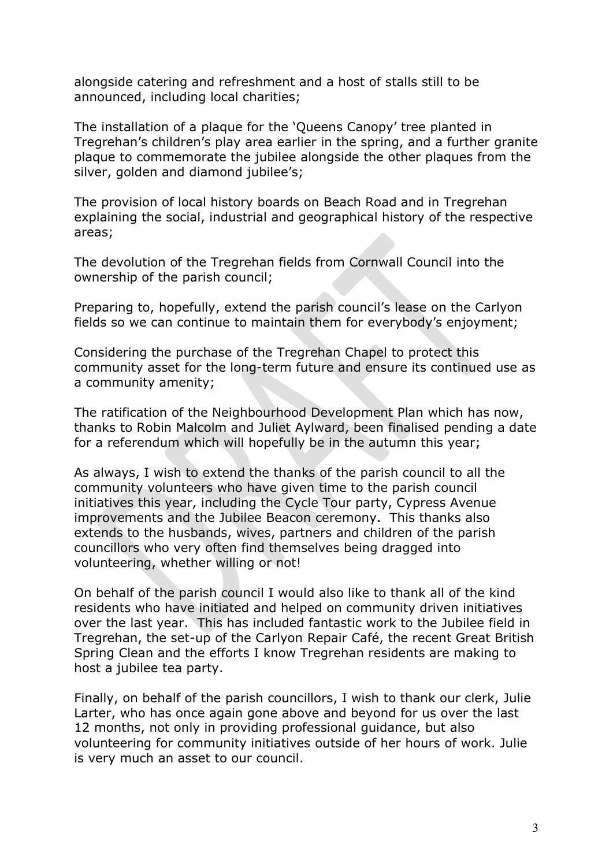alongside catering and refreshment and a host of stalls still to be announced, including local charities;

The installation of a plaque for the 'Queens Canopy' tree planted in Tregrehan's children's play area earlier in the spring, and a further granite plaque to commemorate the jubilee alongside the other plaques from the silver, golden and diamond jubilee's;

The provision of local history boards on Beach Road and in Tregrehan explaining the social, industrial and geographical history of the respective areas;

The devolution of the Tregrehan fields from Cornwall Council into the ownership of the parish council;

Preparing to, hopefully, extend the parish council's lease on the Carlyon fields so we can continue to maintain them for everybody's enjoyment;

Considering the purchase of the Tregrehan Chapel to protect this community asset for the long-term future and ensure its continued use as a community amenity;

The ratification of the Neighbourhood Development Plan which has now, thanks to Robin Malcolm and Juliet Aylward, been finalised pending a date for a referendum which will hopefully be in the autumn this year;

As always, I wish to extend the thanks of the parish council to all the community volunteers who have given time to the parish council initiatives this year, including the Cycle Tour party, Cypress Avenue improvements and the Jubilee Beacon ceremony. This thanks also extends to the husbands, wives, partners and children of the parish councillors who very often find themselves being dragged into volunteering, whether willing or not!

On behalf of the parish council I would also like to thank all of the kind residents who have initiated and helped on community driven initiatives over the last year. This has included fantastic work to the Jubilee field in Tregrehan, the set-up of the Carlyon Repair Café, the recent Great British Spring Clean and the efforts I know Tregrehan residents are making to host a jubilee tea party.

Finally, on behalf of the parish councillors, I wish to thank our clerk, Julie Larter, who has once again gone above and beyond for us over the last 12 months, not only in providing professional guidance, but also volunteering for community initiatives outside of her hours of work. Julie is very much an asset to our council.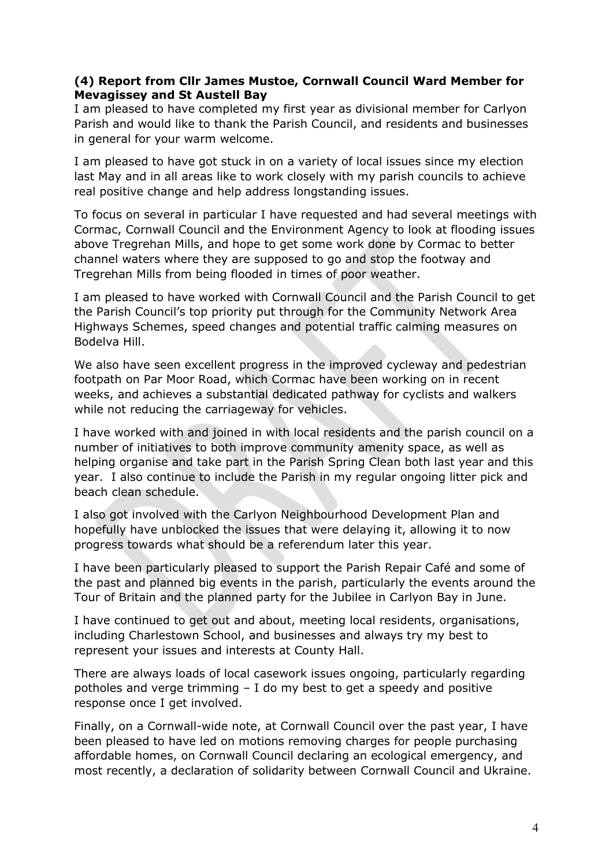## (4) Report from Cllr James Mustoe, Cornwall Council Ward Member for Mevagissey and St Austell Bay

I am pleased to have completed my first year as divisional member for Carlyon Parish and would like to thank the Parish Council, and residents and businesses in general for your warm welcome.

I am pleased to have got stuck in on a variety of local issues since my election last May and in all areas like to work closely with my parish councils to achieve real positive change and help address longstanding issues.

To focus on several in particular I have requested and had several meetings with Cormac, Cornwall Council and the Environment Agency to look at flooding issues above Tregrehan Mills, and hope to get some work done by Cormac to better channel waters where they are supposed to go and stop the footway and Tregrehan Mills from being flooded in times of poor weather.

I am pleased to have worked with Cornwall Council and the Parish Council to get the Parish Council's top priority put through for the Community Network Area Highways Schemes, speed changes and potential traffic calming measures on Bodelva Hill.

We also have seen excellent progress in the improved cycleway and pedestrian footpath on Par Moor Road, which Cormac have been working on in recent weeks, and achieves a substantial dedicated pathway for cyclists and walkers while not reducing the carriageway for vehicles.

I have worked with and joined in with local residents and the parish council on a number of initiatives to both improve community amenity space, as well as helping organise and take part in the Parish Spring Clean both last year and this year. I also continue to include the Parish in my regular ongoing litter pick and beach clean schedule.

I also got involved with the Carlyon Neighbourhood Development Plan and hopefully have unblocked the issues that were delaying it, allowing it to now progress towards what should be a referendum later this year.

I have been particularly pleased to support the Parish Repair Café and some of the past and planned big events in the parish, particularly the events around the Tour of Britain and the planned party for the Jubilee in Carlyon Bay in June.

I have continued to get out and about, meeting local residents, organisations, including Charlestown School, and businesses and always try my best to represent your issues and interests at County Hall.

There are always loads of local casework issues ongoing, particularly regarding potholes and verge trimming – I do my best to get a speedy and positive response once I get involved.

Finally, on a Cornwall-wide note, at Cornwall Council over the past year, I have been pleased to have led on motions removing charges for people purchasing affordable homes, on Cornwall Council declaring an ecological emergency, and most recently, a declaration of solidarity between Cornwall Council and Ukraine.